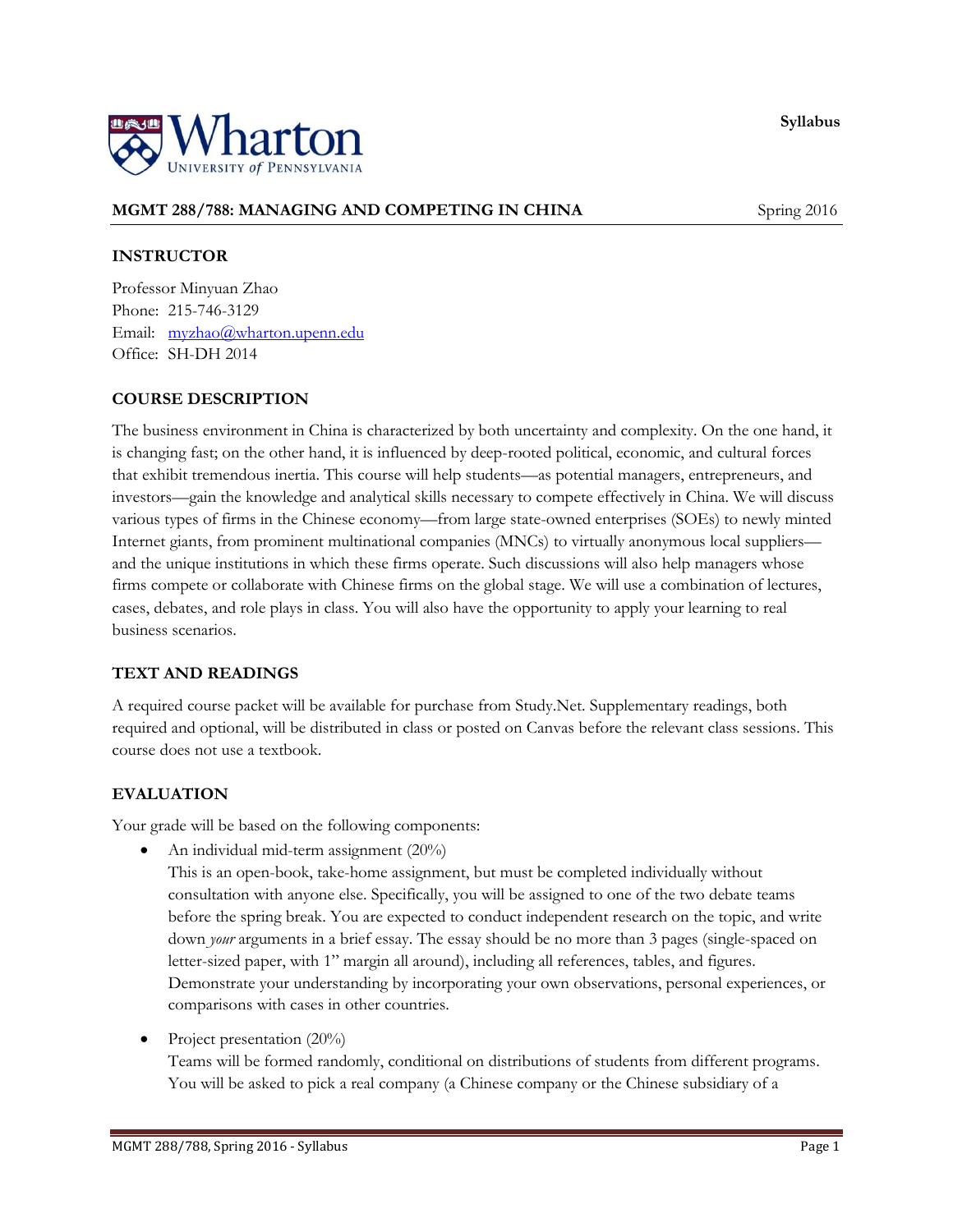**Syllabus**



# **MGMT 288/788: MANAGING AND COMPETING IN CHINA** Spring 2016

## **INSTRUCTOR**

Professor Minyuan Zhao Phone: 215-746-3129 Email: [myzhao@wharton.upenn.edu](mailto:myzhao@wharton.upenn.edu) Office: SH-DH 2014

## **COURSE DESCRIPTION**

The business environment in China is characterized by both uncertainty and complexity. On the one hand, it is changing fast; on the other hand, it is influenced by deep-rooted political, economic, and cultural forces that exhibit tremendous inertia. This course will help students—as potential managers, entrepreneurs, and investors—gain the knowledge and analytical skills necessary to compete effectively in China. We will discuss various types of firms in the Chinese economy—from large state-owned enterprises (SOEs) to newly minted Internet giants, from prominent multinational companies (MNCs) to virtually anonymous local suppliers and the unique institutions in which these firms operate. Such discussions will also help managers whose firms compete or collaborate with Chinese firms on the global stage. We will use a combination of lectures, cases, debates, and role plays in class. You will also have the opportunity to apply your learning to real business scenarios.

## **TEXT AND READINGS**

A required course packet will be available for purchase from Study.Net. Supplementary readings, both required and optional, will be distributed in class or posted on Canvas before the relevant class sessions. This course does not use a textbook.

## **EVALUATION**

Your grade will be based on the following components:

• An individual mid-term assignment  $(20\%)$ 

This is an open-book, take-home assignment, but must be completed individually without consultation with anyone else. Specifically, you will be assigned to one of the two debate teams before the spring break. You are expected to conduct independent research on the topic, and write down *your* arguments in a brief essay. The essay should be no more than 3 pages (single-spaced on letter-sized paper, with 1" margin all around), including all references, tables, and figures. Demonstrate your understanding by incorporating your own observations, personal experiences, or comparisons with cases in other countries.

Project presentation (20%)

Teams will be formed randomly, conditional on distributions of students from different programs. You will be asked to pick a real company (a Chinese company or the Chinese subsidiary of a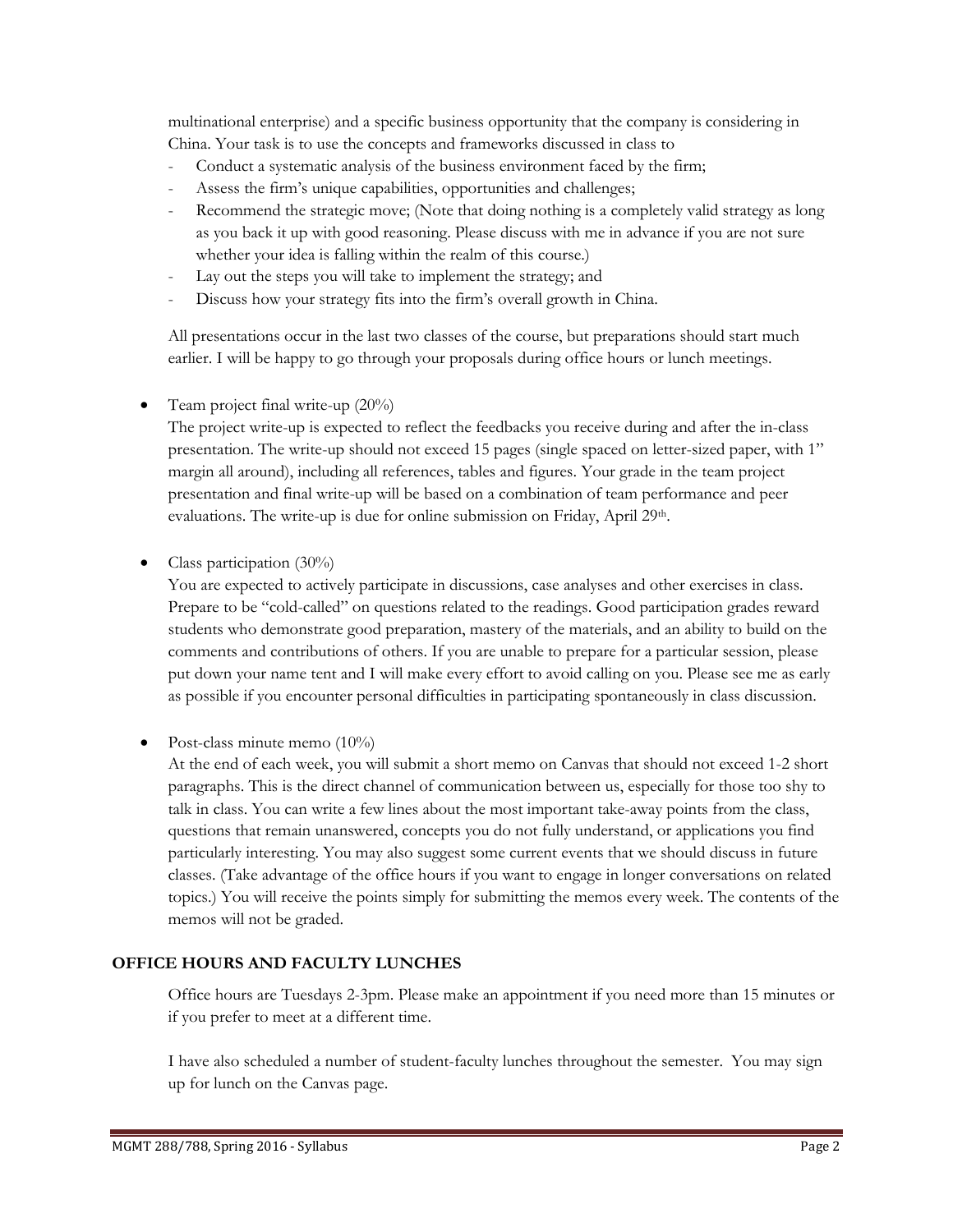multinational enterprise) and a specific business opportunity that the company is considering in China. Your task is to use the concepts and frameworks discussed in class to

- Conduct a systematic analysis of the business environment faced by the firm;
- Assess the firm's unique capabilities, opportunities and challenges;
- Recommend the strategic move; (Note that doing nothing is a completely valid strategy as long as you back it up with good reasoning. Please discuss with me in advance if you are not sure whether your idea is falling within the realm of this course.)
- Lay out the steps you will take to implement the strategy; and
- Discuss how your strategy fits into the firm's overall growth in China.

All presentations occur in the last two classes of the course, but preparations should start much earlier. I will be happy to go through your proposals during office hours or lunch meetings.

Team project final write-up (20%)

The project write-up is expected to reflect the feedbacks you receive during and after the in-class presentation. The write-up should not exceed 15 pages (single spaced on letter-sized paper, with 1" margin all around), including all references, tables and figures. Your grade in the team project presentation and final write-up will be based on a combination of team performance and peer evaluations. The write-up is due for online submission on Friday, April 29<sup>th</sup>.

Class participation (30%)

You are expected to actively participate in discussions, case analyses and other exercises in class. Prepare to be "cold-called" on questions related to the readings. Good participation grades reward students who demonstrate good preparation, mastery of the materials, and an ability to build on the comments and contributions of others. If you are unable to prepare for a particular session, please put down your name tent and I will make every effort to avoid calling on you. Please see me as early as possible if you encounter personal difficulties in participating spontaneously in class discussion.

Post-class minute memo (10%)

At the end of each week, you will submit a short memo on Canvas that should not exceed 1-2 short paragraphs. This is the direct channel of communication between us, especially for those too shy to talk in class. You can write a few lines about the most important take-away points from the class, questions that remain unanswered, concepts you do not fully understand, or applications you find particularly interesting. You may also suggest some current events that we should discuss in future classes. (Take advantage of the office hours if you want to engage in longer conversations on related topics.) You will receive the points simply for submitting the memos every week. The contents of the memos will not be graded.

## **OFFICE HOURS AND FACULTY LUNCHES**

Office hours are Tuesdays 2-3pm. Please make an appointment if you need more than 15 minutes or if you prefer to meet at a different time.

I have also scheduled a number of student-faculty lunches throughout the semester. You may sign up for lunch on the Canvas page.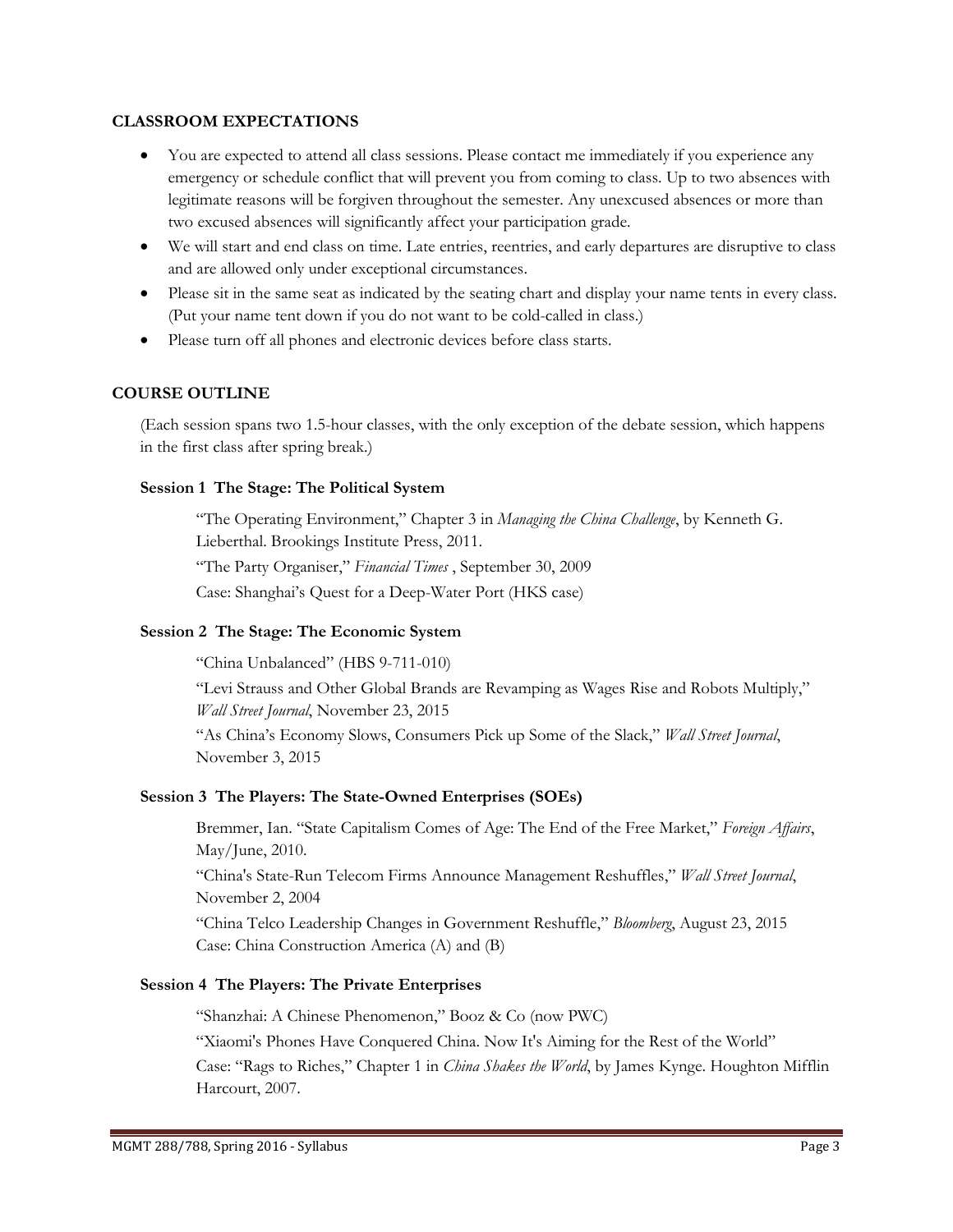#### **CLASSROOM EXPECTATIONS**

- You are expected to attend all class sessions. Please contact me immediately if you experience any emergency or schedule conflict that will prevent you from coming to class. Up to two absences with legitimate reasons will be forgiven throughout the semester. Any unexcused absences or more than two excused absences will significantly affect your participation grade.
- We will start and end class on time. Late entries, reentries, and early departures are disruptive to class and are allowed only under exceptional circumstances.
- Please sit in the same seat as indicated by the seating chart and display your name tents in every class. (Put your name tent down if you do not want to be cold-called in class.)
- Please turn off all phones and electronic devices before class starts.

## **COURSE OUTLINE**

(Each session spans two 1.5-hour classes, with the only exception of the debate session, which happens in the first class after spring break.)

#### **Session 1 The Stage: The Political System**

"The Operating Environment," Chapter 3 in *Managing the China Challenge*, by Kenneth G. Lieberthal. Brookings Institute Press, 2011. "The Party Organiser," *Financial Times* , September 30, 2009 Case: Shanghai's Quest for a Deep-Water Port (HKS case)

#### **Session 2 The Stage: The Economic System**

"China Unbalanced" (HBS 9-711-010)

"Levi Strauss and Other Global Brands are Revamping as Wages Rise and Robots Multiply," *Wall Street Journal*, November 23, 2015

"As China's Economy Slows, Consumers Pick up Some of the Slack," *Wall Street Journal*, November 3, 2015

#### **Session 3 The Players: The State-Owned Enterprises (SOEs)**

Bremmer, Ian. "State Capitalism Comes of Age: The End of the Free Market," *Foreign Affairs*, May/June, 2010.

"China's State-Run Telecom Firms Announce Management Reshuffles," *Wall Street Journal*, November 2, 2004

"China Telco Leadership Changes in Government Reshuffle," *Bloomberg*, August 23, 2015 Case: China Construction America (A) and (B)

### **Session 4 The Players: The Private Enterprises**

"Shanzhai: A Chinese Phenomenon," Booz & Co (now PWC)

"Xiaomi's Phones Have Conquered China. Now It's Aiming for the Rest of the World"

Case: "Rags to Riches," Chapter 1 in *China Shakes the World*, by James Kynge. Houghton Mifflin Harcourt, 2007.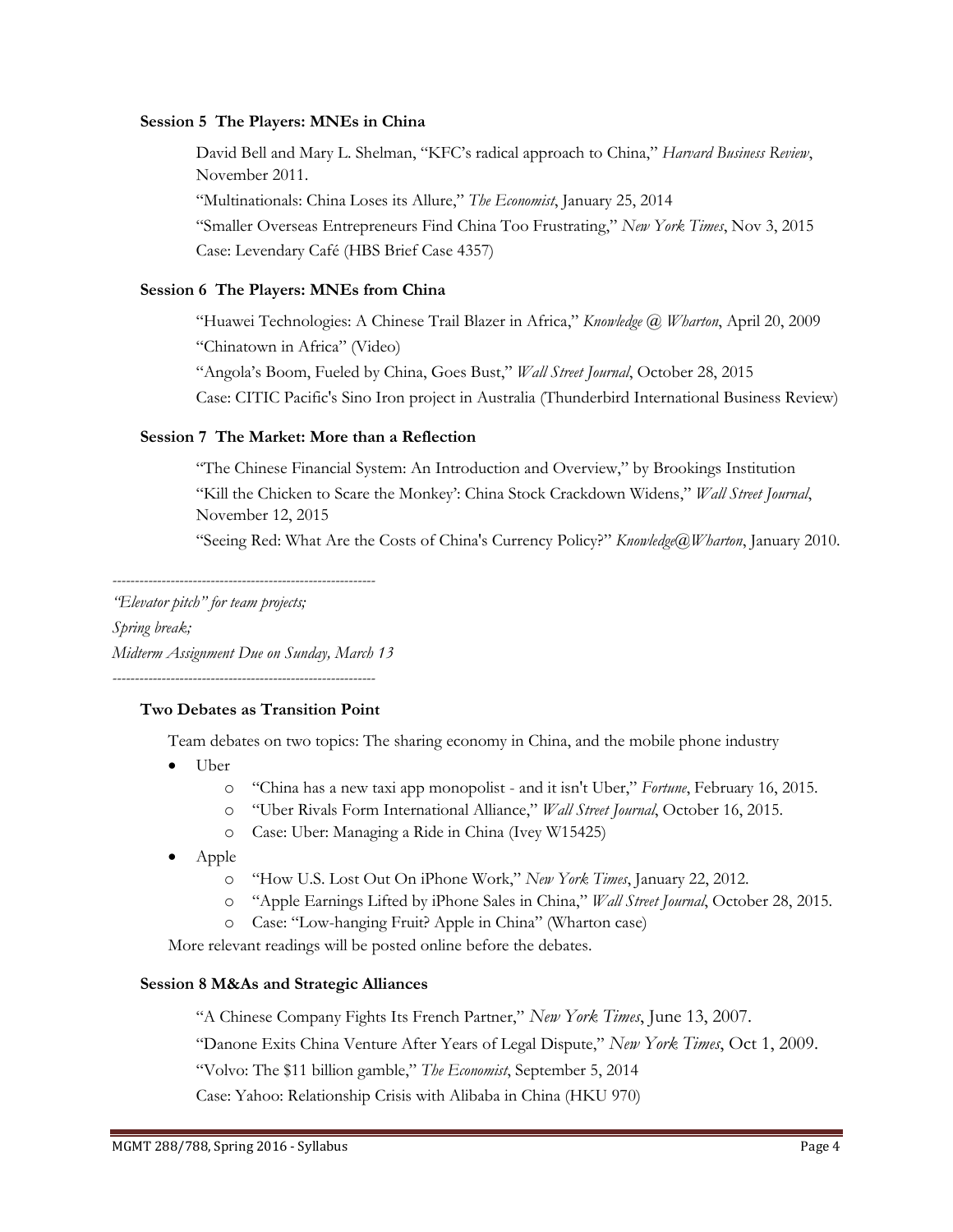#### **Session 5 The Players: MNEs in China**

David Bell and Mary L. Shelman, "KFC's radical approach to China," *Harvard Business Review*, November 2011. "Multinationals: China Loses its Allure," *The Economist*, January 25, 2014 "Smaller Overseas Entrepreneurs Find China Too Frustrating," *New York Times*, Nov 3, 2015 Case: Levendary Café (HBS Brief Case 4357)

## **Session 6 The Players: MNEs from China**

"Huawei Technologies: A Chinese Trail Blazer in Africa," *Knowledge @ Wharton*, April 20, 2009 "Chinatown in Africa" (Video) "Angola's Boom, Fueled by China, Goes Bust," *Wall Street Journal*, October 28, 2015 Case: CITIC Pacific's Sino Iron project in Australia (Thunderbird International Business Review)

## **Session 7 The Market: More than a Reflection**

"The Chinese Financial System: An Introduction and Overview," by Brookings Institution "Kill the Chicken to Scare the Monkey': China Stock Crackdown Widens," *Wall Street Journal*, November 12, 2015

"Seeing Red: What Are the Costs of China's Currency Policy?" *Knowledge@Wharton*, January 2010.

*-----------------------------------------------------------*

*"Elevator pitch" for team projects; Spring break; Midterm Assignment Due on Sunday, March 13*

*-----------------------------------------------------------*

#### **Two Debates as Transition Point**

Team debates on two topics: The sharing economy in China, and the mobile phone industry

- Uber
	- o "China has a new taxi app monopolist and it isn't Uber," *Fortune*, February 16, 2015.
	- o "Uber Rivals Form International Alliance," *Wall Street Journal*, October 16, 2015.
	- o Case: Uber: Managing a Ride in China (Ivey W15425)
- Apple
	- o "How U.S. Lost Out On iPhone Work," *New York Times*, January 22, 2012.
	- o "Apple Earnings Lifted by iPhone Sales in China," *Wall Street Journal*, October 28, 2015.
	- o Case: "Low-hanging Fruit? Apple in China" (Wharton case)

More relevant readings will be posted online before the debates.

#### **Session 8 M&As and Strategic Alliances**

"A Chinese Company Fights Its French Partner," *New York Times*, June 13, 2007.

"Danone Exits China Venture After Years of Legal Dispute," *New York Times*, Oct 1, 2009.

"Volvo: The \$11 billion gamble," *The Economist*, September 5, 2014

Case: Yahoo: Relationship Crisis with Alibaba in China (HKU 970)